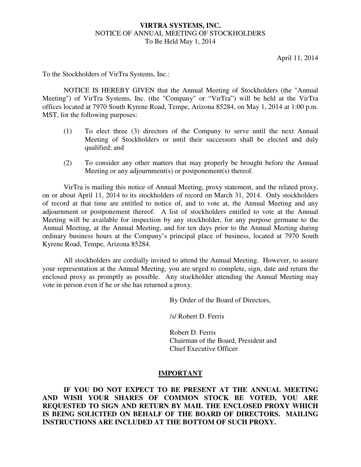### **VIRTRA SYSTEMS, INC.** NOTICE OF ANNUAL MEETING OF STOCKHOLDERS To Be Held May 1, 2014

April 11, 2014

To the Stockholders of VirTra Systems, Inc.:

NOTICE IS HEREBY GIVEN that the Annual Meeting of Stockholders (the "Annual Meeting") of VirTra Systems, Inc. (the "Company" or "VirTra") will be held at the VirTra offices located at 7970 South Kyrene Road, Tempe, Arizona 85284, on May 1, 2014 at 1:00 p.m. MST, for the following purposes:

- (1) To elect three (3) directors of the Company to serve until the next Annual Meeting of Stockholders or until their successors shall be elected and duly qualified; and
- (2) To consider any other matters that may properly be brought before the Annual Meeting or any adjournment(s) or postponement(s) thereof.

VirTra is mailing this notice of Annual Meeting, proxy statement, and the related proxy, on or about April 11, 2014 to its stockholders of record on March 31, 2014. Only stockholders of record at that time are entitled to notice of, and to vote at, the Annual Meeting and any adjournment or postponement thereof. A list of stockholders entitled to vote at the Annual Meeting will be available for inspection by any stockholder, for any purpose germane to the Annual Meeting, at the Annual Meeting, and for ten days prior to the Annual Meeting during ordinary business hours at the Company's principal place of business, located at 7970 South Kyrene Road, Tempe, Arizona 85284.

All stockholders are cordially invited to attend the Annual Meeting. However, to assure your representation at the Annual Meeting, you are urged to complete, sign, date and return the enclosed proxy as promptly as possible. Any stockholder attending the Annual Meeting may vote in person even if he or she has returned a proxy.

By Order of the Board of Directors,

/s/ Robert D. Ferris

 Robert D. Ferris Chairman of the Board, President and Chief Executive Officer

#### **IMPORTANT**

 **IF YOU DO NOT EXPECT TO BE PRESENT AT THE ANNUAL MEETING AND WISH YOUR SHARES OF COMMON STOCK BE VOTED, YOU ARE REQUESTED TO SIGN AND RETURN BY MAIL THE ENCLOSED PROXY WHICH IS BEING SOLICITED ON BEHALF OF THE BOARD OF DIRECTORS. MAILING INSTRUCTIONS ARE INCLUDED AT THE BOTTOM OF SUCH PROXY.**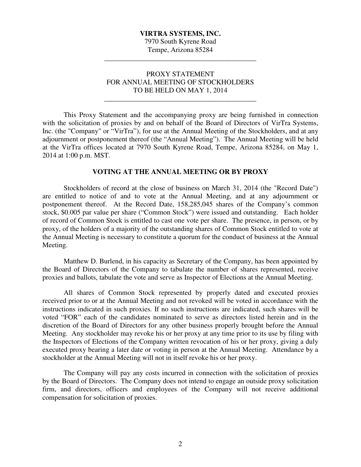# **VIRTRA SYSTEMS, INC.**  7970 South Kyrene Road

Tempe, Arizona 85284 \_\_\_\_\_\_\_\_\_\_\_\_\_\_\_\_\_\_\_\_\_\_\_\_\_\_\_\_\_\_\_\_\_\_\_\_\_\_\_\_\_\_\_

# PROXY STATEMENT FOR ANNUAL MEETING OF STOCKHOLDERS TO BE HELD ON MAY 1, 2014

\_\_\_\_\_\_\_\_\_\_\_\_\_\_\_\_\_\_\_\_\_\_\_\_\_\_\_\_\_\_\_\_\_\_\_\_\_\_\_\_\_\_\_

 This Proxy Statement and the accompanying proxy are being furnished in connection with the solicitation of proxies by and on behalf of the Board of Directors of VirTra Systems, Inc. (the "Company" or "VirTra"), for use at the Annual Meeting of the Stockholders, and at any adjournment or postponement thereof (the "Annual Meeting"). The Annual Meeting will be held at the VirTra offices located at 7970 South Kyrene Road, Tempe, Arizona 85284, on May 1, 2014 at 1:00 p.m. MST.

## **VOTING AT THE ANNUAL MEETING OR BY PROXY**

Stockholders of record at the close of business on March 31, 2014 (the "Record Date") are entitled to notice of and to vote at the Annual Meeting, and at any adjournment or postponement thereof. At the Record Date, 158,285,045 shares of the Company's common stock, \$0.005 par value per share ("Common Stock") were issued and outstanding. Each holder of record of Common Stock is entitled to cast one vote per share. The presence, in person, or by proxy, of the holders of a majority of the outstanding shares of Common Stock entitled to vote at the Annual Meeting is necessary to constitute a quorum for the conduct of business at the Annual Meeting.

Matthew D. Burlend, in his capacity as Secretary of the Company, has been appointed by the Board of Directors of the Company to tabulate the number of shares represented, receive proxies and ballots, tabulate the vote and serve as Inspector of Elections at the Annual Meeting.

All shares of Common Stock represented by properly dated and executed proxies received prior to or at the Annual Meeting and not revoked will be voted in accordance with the instructions indicated in such proxies. If no such instructions are indicated, such shares will be voted "FOR" each of the candidates nominated to serve as directors listed herein and in the discretion of the Board of Directors for any other business properly brought before the Annual Meeting. Any stockholder may revoke his or her proxy at any time prior to its use by filing with the Inspectors of Elections of the Company written revocation of his or her proxy, giving a duly executed proxy bearing a later date or voting in person at the Annual Meeting. Attendance by a stockholder at the Annual Meeting will not in itself revoke his or her proxy.

The Company will pay any costs incurred in connection with the solicitation of proxies by the Board of Directors. The Company does not intend to engage an outside proxy solicitation firm, and directors, officers and employees of the Company will not receive additional compensation for solicitation of proxies.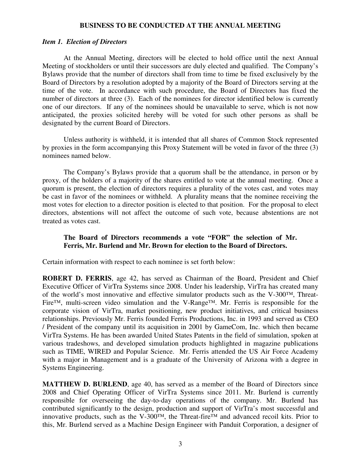### **BUSINESS TO BE CONDUCTED AT THE ANNUAL MEETING**

#### *Item 1. Election of Directors*

At the Annual Meeting, directors will be elected to hold office until the next Annual Meeting of stockholders or until their successors are duly elected and qualified. The Company's Bylaws provide that the number of directors shall from time to time be fixed exclusively by the Board of Directors by a resolution adopted by a majority of the Board of Directors serving at the time of the vote. In accordance with such procedure, the Board of Directors has fixed the number of directors at three (3). Each of the nominees for director identified below is currently one of our directors. If any of the nominees should be unavailable to serve, which is not now anticipated, the proxies solicited hereby will be voted for such other persons as shall be designated by the current Board of Directors.

Unless authority is withheld, it is intended that all shares of Common Stock represented by proxies in the form accompanying this Proxy Statement will be voted in favor of the three (3) nominees named below.

 The Company's Bylaws provide that a quorum shall be the attendance, in person or by proxy, of the holders of a majority of the shares entitled to vote at the annual meeting. Once a quorum is present, the election of directors requires a plurality of the votes cast, and votes may be cast in favor of the nominees or withheld. A plurality means that the nominee receiving the most votes for election to a director position is elected to that position. For the proposal to elect directors, abstentions will not affect the outcome of such vote, because abstentions are not treated as votes cast.

## **The Board of Directors recommends a vote "FOR" the selection of Mr. Ferris, Mr. Burlend and Mr. Brown for election to the Board of Directors.**

Certain information with respect to each nominee is set forth below:

**ROBERT D. FERRIS**, age 42, has served as Chairman of the Board, President and Chief Executive Officer of VirTra Systems since 2008. Under his leadership, VirTra has created many of the world's most innovative and effective simulator products such as the V-300™, Threat-Fire™, multi-screen video simulation and the V-Range™. Mr. Ferris is responsible for the corporate vision of VirTra, market positioning, new product initiatives, and critical business relationships. Previously Mr. Ferris founded Ferris Productions, Inc. in 1993 and served as CEO / President of the company until its acquisition in 2001 by GameCom, Inc. which then became VirTra Systems. He has been awarded United States Patents in the field of simulation, spoken at various tradeshows, and developed simulation products highlighted in magazine publications such as TIME, WIRED and Popular Science. Mr. Ferris attended the US Air Force Academy with a major in Management and is a graduate of the University of Arizona with a degree in Systems Engineering.

**MATTHEW D. BURLEND**, age 40, has served as a member of the Board of Directors since 2008 and Chief Operating Officer of VirTra Systems since 2011. Mr. Burlend is currently responsible for overseeing the day-to-day operations of the company. Mr. Burlend has contributed significantly to the design, production and support of VirTra's most successful and innovative products, such as the V-300™, the Threat-fire™ and advanced recoil kits. Prior to this, Mr. Burlend served as a Machine Design Engineer with Panduit Corporation, a designer of